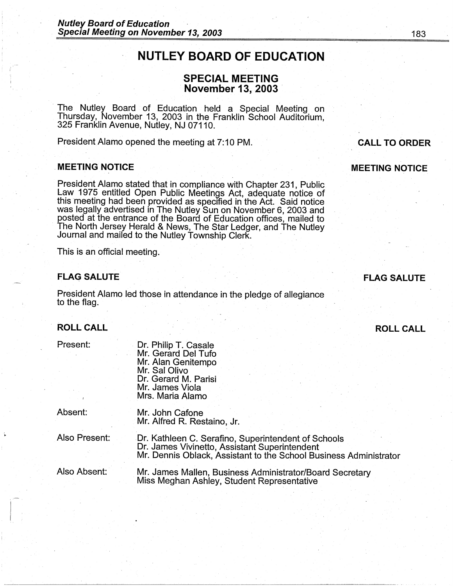# NUTLEY BOARD OF EDUCATION

# SPECIAL MEETING **November 13, 2003**

· The Nutley Board of Education held a Special Meeting on Thursday, November 13, 2003 in the Franklin School Auditorium, 325 Franklin Avenue, Nutley, NJ 07110.

President Alamo opened the meeting at 7:10 PM.

# . MEETING NOTICE

,·-

*.---:* 

President Alamo stated that in compliance with Chapter 231 , Public Law 1975 entitled Open Public Meetings Act, adequate notice of this meeting had been provided as specified in the Act. Said notice was legally advertised in The Nutley Sun on November 6, 2003 and posted at the entrance of the Board of Education offices, mailed to The North Jersey Herald & News, The Star Ledger, and The Nutley Journal and mailed to the Nutley Township Clerk.

This is an official meeting.

# FLAG SALUTE

President Alamo led those in attendance in the pledge of allegiance to the flag.

#### **ROLL CALL**

| Present: |  |  |  |  |
|----------|--|--|--|--|
|          |  |  |  |  |

Dr. Philip T. Casale Mr. Gerard Del Tufa Mr. Alan Genitempo Mr. Sal Olivo Dr. Gerard M. Parisi Mr. James Viola Mrs. Maria Alamo

Absent:

Mr. John Cafone Mr. Alfred R. Restaino, Jr.

Also Present:

Dr. Kathleen C. Serafino, Superintendent of Schools Dr. James Vivinetto, Assistant Superintendent Mr. Dennis Oblack, Assistant to the School Business Administrator

Also Absent:

Mr. James Mallen, Business Administrator/Board Secretary Miss Meghan Ashley, Student Representative

# FLAG SALUTE

ROLL CALL

# CALL TO ORDER

MEETING NOTICE

183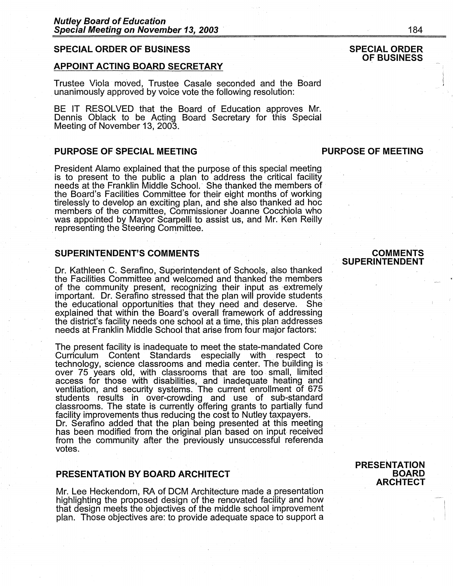# **SPECIAL ORDER OF BUSINESS**

# **APPOINT ACTING BOARD SECRETARY**

Trustee Viola moved, Trustee Casale seconded and the Board \_ unanimously approved by voice vote the following resolution:

BE IT RESOLVED that the Board of Education approves Mr. Dennis Oblack to be Acting Board Secretary for this Special Meeting of November 13, 2003.

# **PURPOSE OF SPECIAL MEETING CONSUMING REPORT OF MEETING**

President Alamo explained that the purpose of this special meeting is to present to the public a plan to address the critical facility needs at the Franklin Middle School.- She thanked the members of the Board's Facilities Committee for their eight months of working tirelessly to develop an exciting plan, and she also thanked ad hoc members of the committee, Commissioner Joanne Cocchiola who was appointed by Mayor Scarpelli to assist us, and Mr. Ken Reilly representing the Steering Committee.

# **SUPERINTENDENT'S COMMENTS**

Dr. Kathleen C. Serafino, Superintendent of Schools, also thanked the Facilities Committee and welcomed and thanked the members of the community present, recognizing their input as extremely important. Dr. Serafino stressed that the plan will provide students\_ the educational opportunities that they need and deserve. She explained that within the Board's overall framework of addressing the district's facility needs one school at a time, this plan addresses needs at Franklin Middle School that arise from four major factors:

The present facility is inadequate to meet the state-mandated Core Curriculum Content Standards especially with respect to technology, science classrooms and media center. The building is over 75 years old, with classrooms that are too small, limited access for those with disabilities, and inadequate heating and ventilation, and security systems. The current enrollment of 675 students results in over-crowding and use of sub-standard classrooms. The state is currently offering grants to partially fund facility improvements thus reducing the cost to Nutley taxpayers. Dr. Serafino added that the plan being presented at this meeting has been modified from the original plan based on input received from the community after the previously unsuccessful referenda votes.

# **PRESENTATION BY BOARD ARCHITECT**

Mr. Lee Heckendorn, RA of DCM Architecture made a presentation highlighting the proposed design of the renovated facility and how that design meets the objectives of the middle school improvement plan. Those objectives are: to provide adequate space to support a

# **COMMENTS SUPERINTENDENT**

# **SPECIAL ORDER OF BUSINESS**

# **PRESENTATION BOARD ARCHTECT**

I i i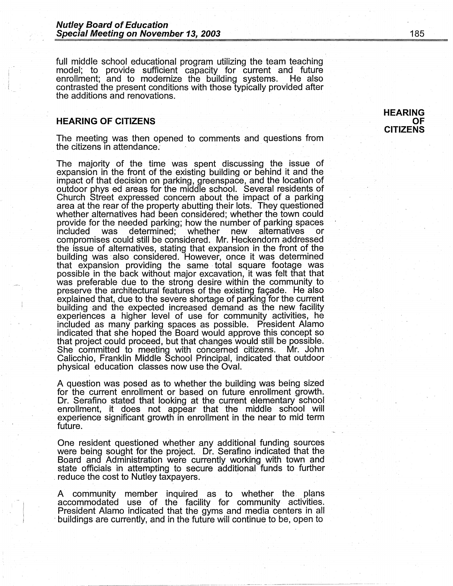full middle school educational program utilizing the team teaching model; to provide sufficient capacity for current and future enrollment; and to modernize the building systems. He also contrasted the present conditions with those typically provided after the additions and renovations.

## **HEARING OF CITIZENS**

i I

The meeting was then opened to comments and questions from the citizens in attendance: ·

The majority of the time was spent discussing the issue of expansion in the front of the existing building or behind it and the impact of that decision on parking, greenspace, and the location of outdoor phys ed areas for the middle school. Several residents of Church Street expressed concern about the impact of a parking area at the rear of the property abutting their lots. They questioned whether alternatives had been considered; whether the town could provide for the needed parking; how the number of parking spaces determined; whether new alternatives or compromises could still be considered. Mr. Heckendorn addressed the issue of alternatives, stating that expansion in the front of the building was also considered. However, once it was determined that expansion providing the same total square footage was possible in the back without major excavation, it was felt that that was preferable due to the strong desire within the community to preserve the architectural features of the existing façade. He also explained that, due to the severe shortage of parking for the current building ·and the expected increased demand as the new facility experiences a higher level of use for community activities, he included as many parking spaces as possible. President Alamo indicated that she hoped the Board would approve this concept so that project could proceed, but that changes would still be possible. She committed to meeting with concerned citizens. Mr. John Calicchio, Franklin Middle School Principal, indicated that outdoor physical education classes now use the Oval.

A question was posed as to whether the building was being sized for the current enrollment or based on future enrollment growth. Dr. Serafino stated that looking at the current elementary school enrollment, it does not appear that the. middle school will experience significant growth in enrollment in the near to mid term future.

One resident questioned whether any additional funding sources were being sought for the project. Dr. Serafino indicated that the Board and Administration were currently working with town and state officials in attempting to secure additional funds to further reduce the cost to Nutley taxpayers.

A community. member inquired as to whether the plans accommodated use of the facility for community activities. President Alamo indicated that the gyms and media centers in all ·buildings are currently, and in the future will continue to be, open to

#### **HEARING OF CITIZENS**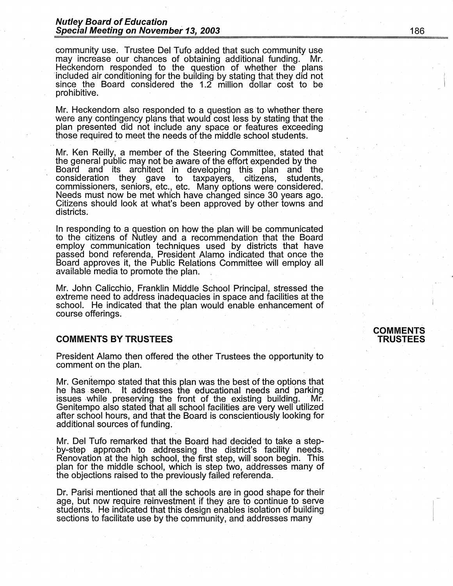community use. Trustee Del Tufo added that such community use may increase our chances of obtaining additional funding. Mr. Heckendorn responded to the question of whether the plans 'included air conditioning for the building by stating that they did not since the Board considered the  $1.2$  million dollar cost to be prohibitive.

Mr. Heckendorn also responded to a question as to whether there were any contingency plans that would cost less by stating that the plan presented did not include any space or features exceeding those required to meet the needs of the middle school students.

Mr. Ken Reilly, a member of the Steering Committee, stated that the general public may not be aware of the effort expended by the Board and its architect in developing this plan and the consideration they gave to taxpayers, citizens, students, commissioners, seniors, etc., etc. Many options were considered. Needs must now be met which have changed since 30 years ago. Citizens should look at what's been approved by other towns and districts.

In responding to a question on how the plan will be communicated to the citizens of Nutley and a recommendation that the Board employ communication techniques used by districts that have passed bond referenda, President Alamo indicated that once the Board approves it, the Public Relations Committee will employ all available media to promote the plan.

Mr. John Calicchio, Franklin Middle School Principal, stressed the extreme need to address inadequacies in space and facilities at the school. He indicated that the plan would enable enhancement of course offerings.

# **COMMENTS BY TRUSTEES**

President Alamo then offered the other Trustees the opportunity to comment on the plan.

Mr. Genitempo stated that this plan was the best of the options that he has seen. It addresses the educational needs and parking issues while preserving the front of the existing building. Mr. Genitempo also stated that all school facilities are very well utilized after school hours, and that the Board is conscientiously looking for additional sources of funding.

Mr. Del Tufo remarked that the Board had decided to take a step-<br>by-step approach to addressing the district's facility needs. Renovation at the high school, the first step, will. soon begin. This plan for the middle school, which is step two, addresses many of the objections raised to the previously failed referenda.

Dr. Parisi mentioned that all the schools are in good shape for their age, but now require reinvestment if they are to continue to serve students. He indicated that this design enables isolation of building sections to facilitate use by the community, and addresses many

# **COMMENTS TRUSTEES**